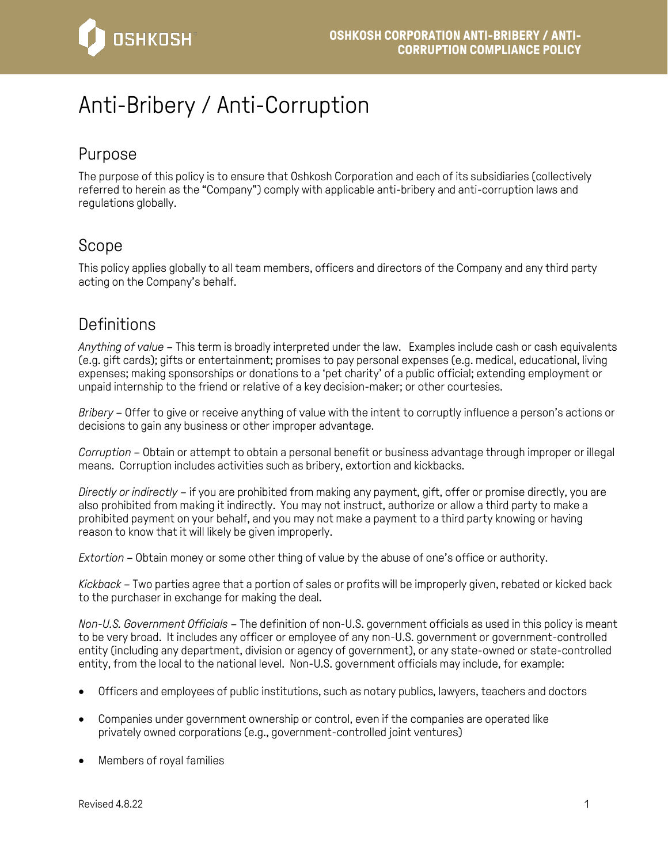

# Anti-Bribery / Anti-Corruption

### Purpose

The purpose of this policy is to ensure that Oshkosh Corporation and each of its subsidiaries (collectively referred to herein as the "Company") comply with applicable anti-bribery and anti-corruption laws and regulations globally.

### Scope

This policy applies globally to all team members, officers and directors of the Company and any third party acting on the Company's behalf.

# **Definitions**

*Anything of value* – This term is broadly interpreted under the law. Examples include cash or cash equivalents (e.g. gift cards); gifts or entertainment; promises to pay personal expenses (e.g. medical, educational, living expenses; making sponsorships or donations to a 'pet charity' of a public official; extending employment or unpaid internship to the friend or relative of a key decision-maker; or other courtesies.

*Bribery* – Offer to give or receive anything of value with the intent to corruptly influence a person's actions or decisions to gain any business or other improper advantage.

*Corruption* – Obtain or attempt to obtain a personal benefit or business advantage through improper or illegal means. Corruption includes activities such as bribery, extortion and kickbacks.

*Directly or indirectly* – if you are prohibited from making any payment, gift, offer or promise directly, you are also prohibited from making it indirectly. You may not instruct, authorize or allow a third party to make a prohibited payment on your behalf, and you may not make a payment to a third party knowing or having reason to know that it will likely be given improperly.

*Extortion* – Obtain money or some other thing of value by the abuse of one's office or authority.

*Kickback* – Two parties agree that a portion of sales or profits will be improperly given, rebated or kicked back to the purchaser in exchange for making the deal.

*Non-U.S. Government Officials* – The definition of non-U.S. government officials as used in this policy is meant to be very broad. It includes any officer or employee of any non-U.S. government or government-controlled entity (including any department, division or agency of government), or any state-owned or state-controlled entity, from the local to the national level. Non-U.S. government officials may include, for example:

- Officers and employees of public institutions, such as notary publics, lawyers, teachers and doctors
- Companies under government ownership or control, even if the companies are operated like privately owned corporations (e.g., government-controlled joint ventures)
- Members of royal families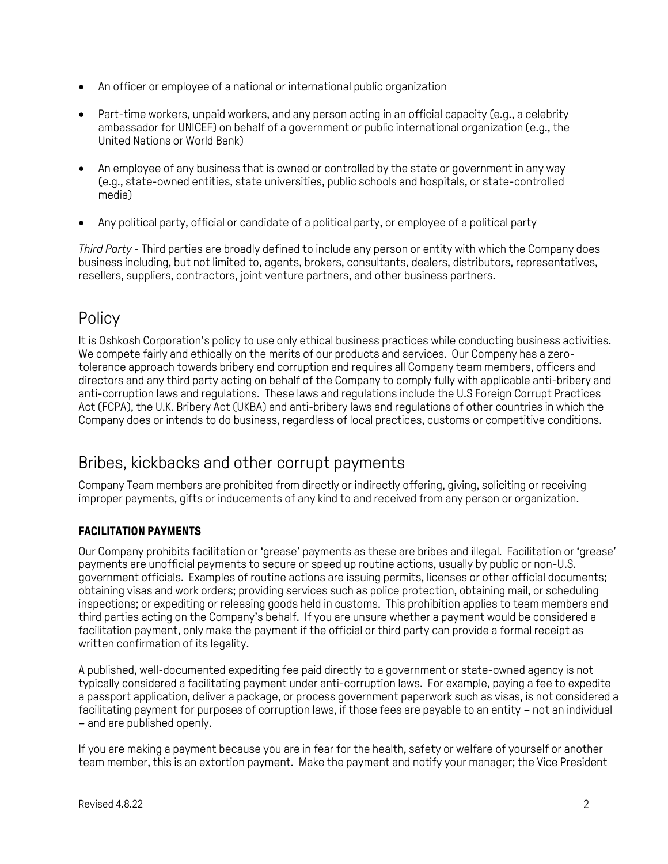- An officer or employee of a national or international public organization
- Part-time workers, unpaid workers, and any person acting in an official capacity (e.g., a celebrity ambassador for UNICEF) on behalf of a government or public international organization (e.g., the United Nations or World Bank)
- An employee of any business that is owned or controlled by the state or government in any way (e.g., state-owned entities, state universities, public schools and hospitals, or state-controlled media)
- Any political party, official or candidate of a political party, or employee of a political party

*Third Party* - Third parties are broadly defined to include any person or entity with which the Company does business including, but not limited to, agents, brokers, consultants, dealers, distributors, representatives, resellers, suppliers, contractors, joint venture partners, and other business partners.

# **Policy**

It is Oshkosh Corporation's policy to use only ethical business practices while conducting business activities. We compete fairly and ethically on the merits of our products and services. Our Company has a zerotolerance approach towards bribery and corruption and requires all Company team members, officers and directors and any third party acting on behalf of the Company to comply fully with applicable anti-bribery and anti-corruption laws and regulations. These laws and regulations include the U.S Foreign Corrupt Practices Act (FCPA), the U.K. Bribery Act (UKBA) and anti-bribery laws and regulations of other countries in which the Company does or intends to do business, regardless of local practices, customs or competitive conditions.

## Bribes, kickbacks and other corrupt payments

Company Team members are prohibited from directly or indirectly offering, giving, soliciting or receiving improper payments, gifts or inducements of any kind to and received from any person or organization.

#### **FACILITATION PAYMENTS**

Our Company prohibits facilitation or 'grease' payments as these are bribes and illegal. Facilitation or 'grease' payments are unofficial payments to secure or speed up routine actions, usually by public or non-U.S. government officials. Examples of routine actions are issuing permits, licenses or other official documents; obtaining visas and work orders; providing services such as police protection, obtaining mail, or scheduling inspections; or expediting or releasing goods held in customs. This prohibition applies to team members and third parties acting on the Company's behalf. If you are unsure whether a payment would be considered a facilitation payment, only make the payment if the official or third party can provide a formal receipt as written confirmation of its legality.

A published, well-documented expediting fee paid directly to a government or state-owned agency is not typically considered a facilitating payment under anti-corruption laws. For example, paying a fee to expedite a passport application, deliver a package, or process government paperwork such as visas, is not considered a facilitating payment for purposes of corruption laws, if those fees are payable to an entity – not an individual – and are published openly.

If you are making a payment because you are in fear for the health, safety or welfare of yourself or another team member, this is an extortion payment. Make the payment and notify your manager; the Vice President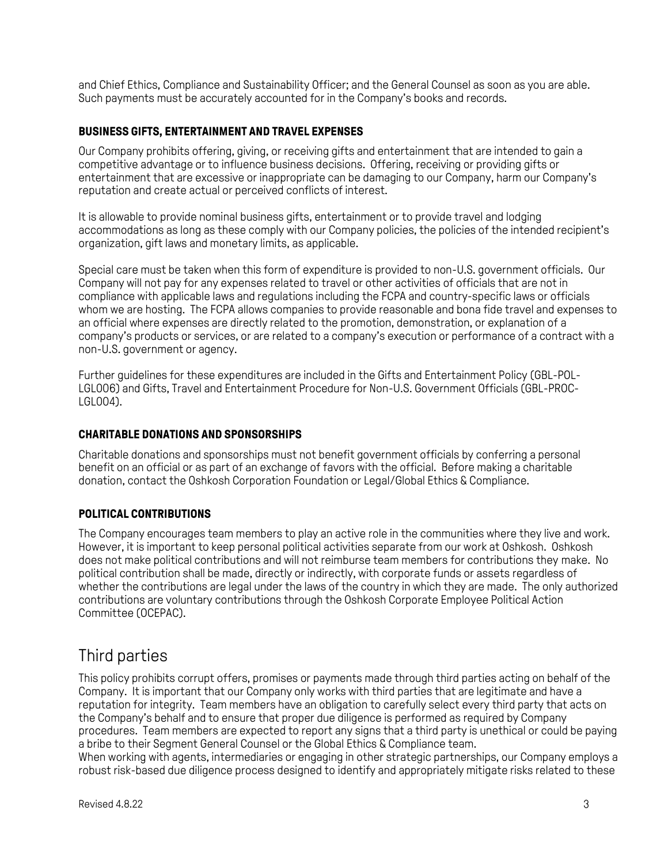and Chief Ethics, Compliance and Sustainability Officer; and the General Counsel as soon as you are able. Such payments must be accurately accounted for in the Company's books and records.

#### **BUSINESS GIFTS, ENTERTAINMENT AND TRAVEL EXPENSES**

Our Company prohibits offering, giving, or receiving gifts and entertainment that are intended to gain a competitive advantage or to influence business decisions. Offering, receiving or providing gifts or entertainment that are excessive or inappropriate can be damaging to our Company, harm our Company's reputation and create actual or perceived conflicts of interest.

It is allowable to provide nominal business gifts, entertainment or to provide travel and lodging accommodations as long as these comply with our Company policies, the policies of the intended recipient's organization, gift laws and monetary limits, as applicable.

Special care must be taken when this form of expenditure is provided to non-U.S. government officials. Our Company will not pay for any expenses related to travel or other activities of officials that are not in compliance with applicable laws and regulations including the FCPA and country-specific laws or officials whom we are hosting. The FCPA allows companies to provide reasonable and bona fide travel and expenses to an official where expenses are directly related to the promotion, demonstration, or explanation of a company's products or services, or are related to a company's execution or performance of a contract with a non-U.S. government or agency.

Further guidelines for these expenditures are included in the Gifts and Entertainment Policy (GBL-POL-LGL006) and Gifts, Travel and Entertainment Procedure for Non-U.S. Government Officials (GBL-PROC-LGL004).

#### **CHARITABLE DONATIONS AND SPONSORSHIPS**

Charitable donations and sponsorships must not benefit government officials by conferring a personal benefit on an official or as part of an exchange of favors with the official. Before making a charitable donation, contact the Oshkosh Corporation Foundation or Legal/Global Ethics & Compliance.

#### **POLITICAL CONTRIBUTIONS**

The Company encourages team members to play an active role in the communities where they live and work. However, it is important to keep personal political activities separate from our work at Oshkosh. Oshkosh does not make political contributions and will not reimburse team members for contributions they make. No political contribution shall be made, directly or indirectly, with corporate funds or assets regardless of whether the contributions are legal under the laws of the country in which they are made. The only authorized contributions are voluntary contributions through the Oshkosh Corporate Employee Political Action Committee (OCEPAC).

## Third parties

This policy prohibits corrupt offers, promises or payments made through third parties acting on behalf of the Company. It is important that our Company only works with third parties that are legitimate and have a reputation for integrity. Team members have an obligation to carefully select every third party that acts on the Company's behalf and to ensure that proper due diligence is performed as required by Company procedures. Team members are expected to report any signs that a third party is unethical or could be paying a bribe to their Segment General Counsel or the Global Ethics & Compliance team.

When working with agents, intermediaries or engaging in other strategic partnerships, our Company employs a robust risk-based due diligence process designed to identify and appropriately mitigate risks related to these